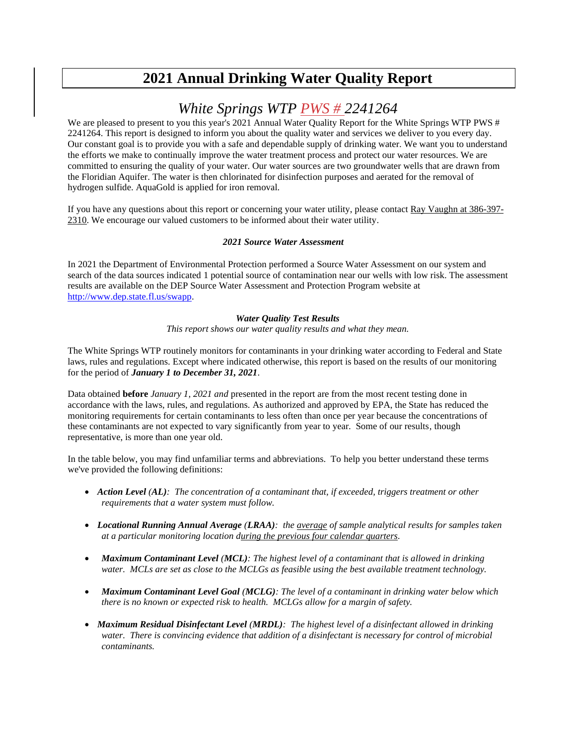# **2021 Annual Drinking Water Quality Report**

# *White Springs WTP PWS # 2241264*

We are pleased to present to you this year's 2021 Annual Water Quality Report for the White Springs WTP PWS # 2241264. This report is designed to inform you about the quality water and services we deliver to you every day. Our constant goal is to provide you with a safe and dependable supply of drinking water. We want you to understand the efforts we make to continually improve the water treatment process and protect our water resources. We are committed to ensuring the quality of your water. Our water sources are two groundwater wells that are drawn from the Floridian Aquifer. The water is then chlorinated for disinfection purposes and aerated for the removal of hydrogen sulfide. AquaGold is applied for iron removal.

If you have any questions about this report or concerning your water utility, please contact Ray Vaughn at 386-397- 2310. We encourage our valued customers to be informed about their water utility.

### *2021 Source Water Assessment*

In 2021 the Department of Environmental Protection performed a Source Water Assessment on our system and search of the data sources indicated 1 potential source of contamination near our wells with low risk. The assessment results are available on the DEP Source Water Assessment and Protection Program website at [http://www.dep.state.fl.us/swapp.](http://www.dep.state.fl.us/swapp%3chttp:/www.dep.state.fl.us/swapp)

### *Water Quality Test Results*

*This report shows our water quality results and what they mean.*

The White Springs WTP routinely monitors for contaminants in your drinking water according to Federal and State laws, rules and regulations. Except where indicated otherwise, this report is based on the results of our monitoring for the period of *January 1 to December 31, 2021*.

Data obtained **before** *January 1, 2021 and* presented in the report are from the most recent testing done in accordance with the laws, rules, and regulations. As authorized and approved by EPA, the State has reduced the monitoring requirements for certain contaminants to less often than once per year because the concentrations of these contaminants are not expected to vary significantly from year to year. Some of our results, though representative, is more than one year old.

In the table below, you may find unfamiliar terms and abbreviations. To help you better understand these terms we've provided the following definitions:

- *Action Level (AL): The concentration of a contaminant that, if exceeded, triggers treatment or other requirements that a water system must follow.*
- *Locational Running Annual Average (LRAA): the average of sample analytical results for samples taken at a particular monitoring location during the previous four calendar quarters.*
- *Maximum Contaminant Level (MCL): The highest level of a contaminant that is allowed in drinking water. MCLs are set as close to the MCLGs as feasible using the best available treatment technology.*
- *Maximum Contaminant Level Goal (MCLG): The level of a contaminant in drinking water below which there is no known or expected risk to health. MCLGs allow for a margin of safety.*
- *Maximum Residual Disinfectant Level (MRDL): The highest level of a disinfectant allowed in drinking water. There is convincing evidence that addition of a disinfectant is necessary for control of microbial contaminants.*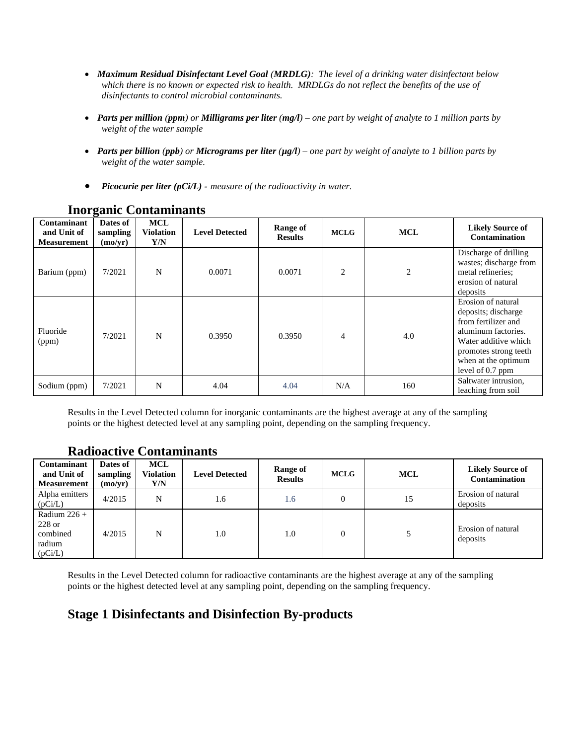- *Maximum Residual Disinfectant Level Goal (MRDLG): The level of a drinking water disinfectant below which there is no known or expected risk to health. MRDLGs do not reflect the benefits of the use of disinfectants to control microbial contaminants.*
- *Parts per million (ppm) or Milligrams per liter (mg/l) – one part by weight of analyte to 1 million parts by weight of the water sample*
- *Parts per billion (ppb) or Micrograms per liter (µg/l) – one part by weight of analyte to 1 billion parts by weight of the water sample.*
- *Picocurie per liter (pCi/L) - measure of the radioactivity in water.*

| Contaminant<br>and Unit of<br><b>Measurement</b> | Dates of<br>sampling<br>(mo/yr) | <b>MCL</b><br><b>Violation</b><br>Y/N | <b>Level Detected</b> | <b>Range of</b><br><b>Results</b> | <b>MCLG</b>    | <b>MCL</b> | <b>Likely Source of</b><br><b>Contamination</b>                                                                                                                                     |
|--------------------------------------------------|---------------------------------|---------------------------------------|-----------------------|-----------------------------------|----------------|------------|-------------------------------------------------------------------------------------------------------------------------------------------------------------------------------------|
| Barium (ppm)                                     | 7/2021                          | N                                     | 0.0071                | 0.0071                            | $\overline{c}$ | 2          | Discharge of drilling<br>wastes; discharge from<br>metal refineries;<br>erosion of natural<br>deposits                                                                              |
| Fluoride<br>(ppm)                                | 7/2021                          | N                                     | 0.3950                | 0.3950                            | $\overline{4}$ | 4.0        | Erosion of natural<br>deposits; discharge<br>from fertilizer and<br>aluminum factories.<br>Water additive which<br>promotes strong teeth<br>when at the optimum<br>level of 0.7 ppm |
| Sodium (ppm)                                     | 7/2021                          | N                                     | 4.04                  | 4.04                              | N/A            | 160        | Saltwater intrusion,<br>leaching from soil                                                                                                                                          |

# **Inorganic Contaminants**

Results in the Level Detected column for inorganic contaminants are the highest average at any of the sampling points or the highest detected level at any sampling point, depending on the sampling frequency.

### **Radioactive Contaminants**

| Contaminant<br>and Unit of<br><b>Measurement</b>            | Dates of<br>sampling<br>(mo/yr) | <b>MCL</b><br>Violation<br>Y/N | <b>Level Detected</b> | Range of<br><b>Results</b> | <b>MCLG</b> | <b>MCL</b> | <b>Likely Source of</b><br><b>Contamination</b> |
|-------------------------------------------------------------|---------------------------------|--------------------------------|-----------------------|----------------------------|-------------|------------|-------------------------------------------------|
| Alpha emitters<br>(pCi/L)                                   | 4/2015                          | N                              | 1.6                   | 1.6                        | $\Omega$    | 15         | Erosion of natural<br>deposits                  |
| Radium $226 +$<br>$228$ or<br>combined<br>radium<br>(pCi/L) | 4/2015                          | N                              | 1.0                   | 1.0                        | $\Omega$    |            | Erosion of natural<br>deposits                  |

Results in the Level Detected column for radioactive contaminants are the highest average at any of the sampling points or the highest detected level at any sampling point, depending on the sampling frequency.

# **Stage 1 Disinfectants and Disinfection By-products**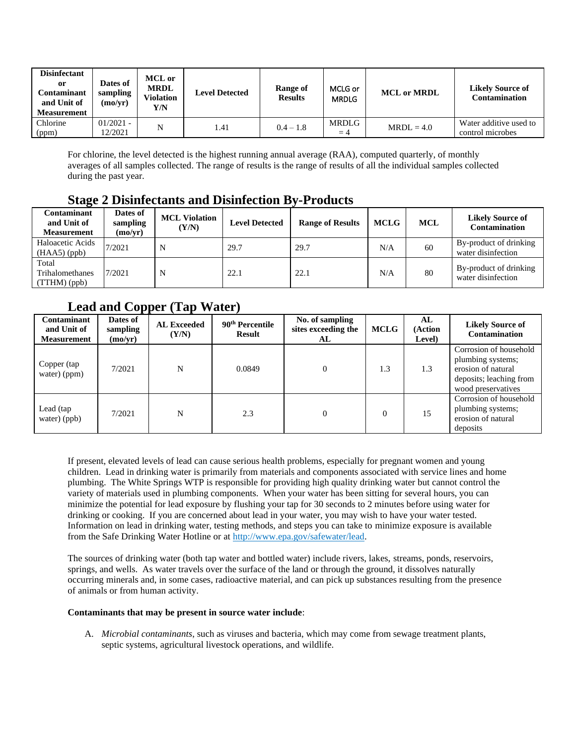| <b>Disinfectant</b><br>or<br>Contaminant<br>and Unit of<br><b>Measurement</b> | Dates of<br>sampling<br>$\rm (mo/yr)$ | <b>MCL</b> or<br><b>MRDL</b><br>Violation<br>Y/N | <b>Level Detected</b> | Range of<br><b>Results</b> | MCLG or<br><b>MRDLG</b> | <b>MCL or MRDL</b> | <b>Likely Source of</b><br><b>Contamination</b> |
|-------------------------------------------------------------------------------|---------------------------------------|--------------------------------------------------|-----------------------|----------------------------|-------------------------|--------------------|-------------------------------------------------|
| Chlorine<br>(ppm)                                                             | $01/2021 -$<br>12/2021                | N                                                | 1.41                  | $0.4 - 1.8$                | MRDLG<br>$=4$           | $MRDL = 4.0$       | Water additive used to<br>control microbes      |

For chlorine, the level detected is the highest running annual average (RAA), computed quarterly, of monthly averages of all samples collected. The range of results is the range of results of all the individual samples collected during the past year.

# **Stage 2 Disinfectants and Disinfection By-Products**

| Contaminant<br>and Unit of<br>Measurement | Dates of<br>sampling<br>(mo/yr) | <b>MCL Violation</b><br>(Y/N) | <b>Level Detected</b> | <b>Range of Results</b> | <b>MCLG</b> | <b>MCL</b> | <b>Likely Source of</b><br>Contamination     |
|-------------------------------------------|---------------------------------|-------------------------------|-----------------------|-------------------------|-------------|------------|----------------------------------------------|
| Haloacetic Acids<br>$(HAA5)$ (ppb)        | 7/2021                          | N                             | 29.7                  | 29.7                    | N/A         | 60         | By-product of drinking<br>water disinfection |
| Total<br>Trihalomethanes<br>(TTHM)(ppb)   | 7/2021                          | N                             | 22.1                  | 22.1                    | N/A         | 80         | By-product of drinking<br>water disinfection |

# **Lead and Copper (Tap Water)**

| Contaminant<br>and Unit of<br><b>Measurement</b> | Dates of<br>sampling<br>(mo/yr) | <b>AL Exceeded</b><br>(Y/N) | 90 <sup>th</sup> Percentile<br><b>Result</b> | No. of sampling<br>sites exceeding the<br>AL | <b>MCLG</b>  | AL<br>(Action<br>Level) | <b>Likely Source of</b><br><b>Contamination</b>                                                                    |
|--------------------------------------------------|---------------------------------|-----------------------------|----------------------------------------------|----------------------------------------------|--------------|-------------------------|--------------------------------------------------------------------------------------------------------------------|
| Copper (tap<br>water) (ppm)                      | 7/2021                          | N                           | 0.0849                                       |                                              | 1.3          | 1.3                     | Corrosion of household<br>plumbing systems;<br>erosion of natural<br>deposits; leaching from<br>wood preservatives |
| Lead (tap<br>water) (ppb)                        | 7/2021                          | N                           | 2.3                                          |                                              | $\mathbf{0}$ | 15                      | Corrosion of household<br>plumbing systems;<br>erosion of natural<br>deposits                                      |

If present, elevated levels of lead can cause serious health problems, especially for pregnant women and young children. Lead in drinking water is primarily from materials and components associated with service lines and home plumbing. The White Springs WTP is responsible for providing high quality drinking water but cannot control the variety of materials used in plumbing components. When your water has been sitting for several hours, you can minimize the potential for lead exposure by flushing your tap for 30 seconds to 2 minutes before using water for drinking or cooking. If you are concerned about lead in your water, you may wish to have your water tested. Information on lead in drinking water, testing methods, and steps you can take to minimize exposure is available from the Safe Drinking Water Hotline or at [http://www.epa.gov/safewater/lead.](http://www.epa.gov/safewater/lead)

The sources of drinking water (both tap water and bottled water) include rivers, lakes, streams, ponds, reservoirs, springs, and wells. As water travels over the surface of the land or through the ground, it dissolves naturally occurring minerals and, in some cases, radioactive material, and can pick up substances resulting from the presence of animals or from human activity.

### **Contaminants that may be present in source water include**:

A. *Microbial contaminants*, such as viruses and bacteria, which may come from sewage treatment plants, septic systems, agricultural livestock operations, and wildlife.